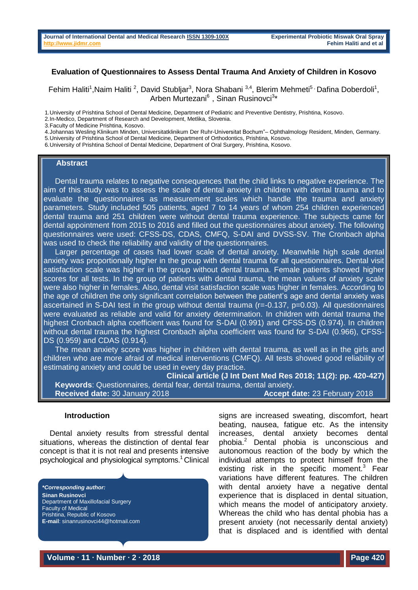# **Evaluation of Questionnaires to Assess Dental Trauma And Anxiety of Children in Kosovo**

Fehim Haliti<sup>1</sup>, Naim Haliti<sup>2</sup>, David Stubljar<sup>3</sup>, Nora Shabani<sup>3,4</sup>, Blerim Mehmeti<sup>5,</sup> Dafina Doberdoli<sup>1</sup>, Arben Murtezani<sup>6</sup>, Sinan Rusinovci<sup>3\*</sup>

1.University of Prishtina School of Dental Medicine, Department of Pediatric and Preventive Dentistry, Prishtina, Kosovo.

3.Faculty of Medicine Prishtina, Kosovo.

4.Johannas Wesling Klinikum Minden, Universitatklinikum Der Ruhr-Universitat Bochum"– Ophthalmology Resident, Minden, Germany.

5.University of Prishtina School of Dental Medicine, Department of Orthodontics, Prishtina, Kosovo.

6.University of Prishtina School of Dental Medicine, Department of Oral Surgery, Prishtina, Kosovo.

#### **Abstract**

Dental trauma relates to negative consequences that the child links to negative experience. The aim of this study was to assess the scale of dental anxiety in children with dental trauma and to evaluate the questionnaires as measurement scales which handle the trauma and anxiety parameters. Study included 505 patients, aged 7 to 14 years of whom 254 children experienced dental trauma and 251 children were without dental trauma experience. The subjects came for dental appointment from 2015 to 2016 and filled out the questionnaires about anxiety. The following questionnaires were used: CFSS-DS, CDAS, CMFQ, S-DAI and DVSS-SV. The Cronbach alpha was used to check the reliability and validity of the questionnaires.

Larger percentage of cases had lower scale of dental anxiety. Meanwhile high scale dental anxiety was proportionally higher in the group with dental trauma for all questionnaires. Dental visit satisfaction scale was higher in the group without dental trauma. Female patients showed higher scores for all tests. In the group of patients with dental trauma, the mean values of anxiety scale were also higher in females. Also, dental visit satisfaction scale was higher in females. According to the age of children the only significant correlation between the patient's age and dental anxiety was ascertained in S-DAI test in the group without dental trauma  $(r=-0.137, p=0.03)$ . All questionnaires were evaluated as reliable and valid for anxiety determination. In children with dental trauma the highest Cronbach alpha coefficient was found for S-DAI (0.991) and CFSS-DS (0.974). In children without dental trauma the highest Cronbach alpha coefficient was found for S-DAI (0.966), CFSS-DS (0.959) and CDAS (0.914).

The mean anxiety score was higher in children with dental trauma, as well as in the girls and children who are more afraid of medical interventions (CMFQ). All tests showed good reliability of estimating anxiety and could be used in every day practice.

**Clinical article (J Int Dent Med Res 2018; 11(2): pp. 420-427) Keywords**: Questionnaires, dental fear, dental trauma, dental anxiety. **Received date:** 30 January 2018 **Accept date:** 23 February 2018

### **Introduction**

Dental anxiety results from stressful dental situations, whereas the distinction of dental fear concept is that it is not real and presents intensive psychological and physiological symptoms.<sup>1</sup> Clinical

*\*Corresponding author:* **Sinan Rusinovci** Department of Maxillofacial Surgery Faculty of Medical Prishtina, Republic of Kosovo **E-mail**: sinanrusinovci44@hotmail.com signs are increased sweating, discomfort, heart beating, nausea, fatigue etc. As the intensity increases, dental anxiety becomes dental phobia.<sup>2</sup> Dental phobia is unconscious and autonomous reaction of the body by which the individual attempts to protect himself from the existing risk in the specific moment.<sup>3</sup> Fear variations have different features. The children with dental anxiety have a negative dental experience that is displaced in dental situation, which means the model of anticipatory anxiety. Whereas the child who has dental phobia has a present anxiety (not necessarily dental anxiety) that is displaced and is identified with dental

**Volume ∙ 11 ∙ Number ∙ 2 ∙ 2018 Page 420**

<sup>2.</sup>In-Medico, Department of Research and Development, Metlika, Slovenia.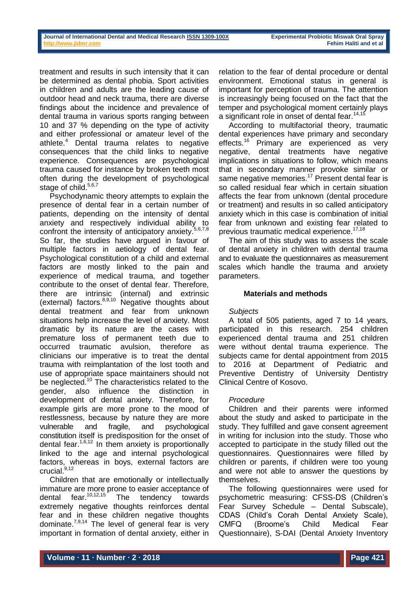relation to the fear of dental procedure or dental environment. Emotional status in general is important for perception of trauma. The attention is increasingly being focused on the fact that the temper and psychological moment certainly plays a significant role in onset of dental fear.<sup>14,15</sup>

According to multifactorial theory, traumatic dental experiences have primary and secondary effects.<sup>16</sup> Primary are experienced as very negative, dental treatments have negative implications in situations to follow, which means that in secondary manner provoke similar or same negative memories.<sup>17</sup> Present dental fear is so called residual fear which in certain situation affects the fear from unknown (dental procedure or treatment) and results in so called anticipatory anxiety which in this case is combination of initial fear from unknown and existing fear related to previous traumatic medical experience.<sup>17,18</sup>

The aim of this study was to assess the scale of dental anxiety in children with dental trauma and to evaluate the questionnaires as measurement scales which handle the trauma and anxiety parameters.

# **Materials and methods**

### *Subjects*

A total of 505 patients, aged 7 to 14 years, participated in this research. 254 children experienced dental trauma and 251 children were without dental trauma experience. The subjects came for dental appointment from 2015 to 2016 at Department of Pediatric and Preventive Dentistry of University Dentistry Clinical Centre of Kosovo.

# *Procedure*

Children and their parents were informed about the study and asked to participate in the study. They fulfilled and gave consent agreement in writing for inclusion into the study. Those who accepted to participate in the study filled out the questionnaires. Questionnaires were filled by children or parents, if children were too young and were not able to answer the questions by themselves.

The following questionnaires were used for psychometric measuring: CFSS-DS (Children's Fear Survey Schedule – Dental Subscale), CDAS (Child's Corah Dental Anxiety Scale), CMFQ (Broome's Child Medical Fear Questionnaire), S-DAI (Dental Anxiety Inventory

treatment and results in such intensity that it can be determined as dental phobia. Sport activities in children and adults are the leading cause of outdoor head and neck trauma, there are diverse findings about the incidence and prevalence of dental trauma in various sports ranging between 10 and 37 % depending on the type of activity and either professional or amateur level of the athlete.<sup>4</sup> Dental trauma relates to negative consequences that the child links to negative experience. Consequences are psychological trauma caused for instance by broken teeth most often during the development of psychological stage of child. $5,6,7$ 

Psychodynamic theory attempts to explain the presence of dental fear in a certain number of patients, depending on the intensity of dental anxiety and respectively individual ability to confront the intensity of anticipatory anxiety.<sup>5,6,7,8</sup> So far, the studies have argued in favour of multiple factors in aetiology of dental fear. Psychological constitution of a child and external factors are mostly linked to the pain and experience of medical trauma, and together contribute to the onset of dental fear. Therefore, there are intrinsic (internal) and extrinsic (external) factors.8,9,10 Negative thoughts about dental treatment and fear from unknown situations help increase the level of anxiety. Most dramatic by its nature are the cases with premature loss of permanent teeth due to occurred traumatic avulsion, therefore as clinicians our imperative is to treat the dental trauma with reimplantation of the lost tooth and use of appropriate space maintainers should not be neglected. $10$  The characteristics related to the gender, also influence the distinction in development of dental anxiety. Therefore, for example girls are more prone to the mood of restlessness, because by nature they are more vulnerable and fragile, and psychological constitution itself is predisposition for the onset of dental fear. $1,6,12$  In them anxiety is proportionally linked to the age and internal psychological factors, whereas in boys, external factors are crucial.<sup>9,12</sup>

Children that are emotionally or intellectually immature are more prone to easier acceptance of dental fear.<sup>10,12,15</sup> The tendency towards extremely negative thoughts reinforces dental fear and in these children negative thoughts dominate.<sup>7,9,14</sup> The level of general fear is very important in formation of dental anxiety, either in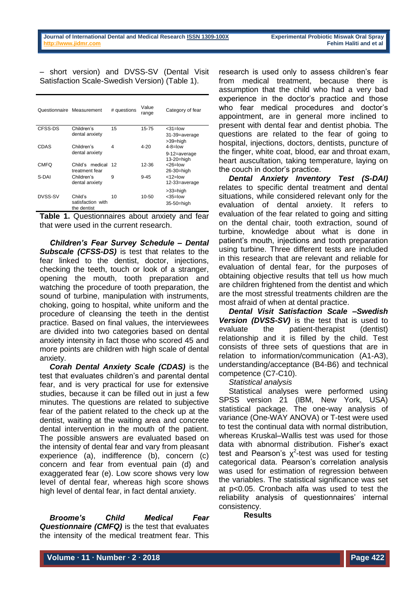– short version) and DVSS-SV (Dental Visit Satisfaction Scale-Swedish Version) (Table 1).

| Questionnaire | Measurement                                 | # questions | Value<br>range | Category of fear                            |
|---------------|---------------------------------------------|-------------|----------------|---------------------------------------------|
| CFSS-DS       | Children's<br>dental anxiety                | 15          | 15-75          | $<31$ =low<br>31-39=average<br>>39=high     |
| CDAS          | Children's<br>dental anxiety                | 4           | $4 - 20$       | $4 - 8 =$ low<br>9-12=average<br>13-20=high |
| CMFO          | Child's medical<br>treatment fear           | 12          | 12-36          | $<$ 26= $low$<br>26-30=high                 |
| S-DAI         | Children's<br>dental anxiety                | 9           | $9 - 45$       | $<$ 12 $=$ low<br>12-33=average             |
| DVSS-SV       | Child's<br>satisfaction with<br>the dentist | 10          | 10-50          | $>33$ =high<br>$<35=low$<br>35-50=high      |

**Table 1.** Questionnaires about anxiety and fear that were used in the current research.

*Children's Fear Survey Schedule – Dental Subscale (CFSS-DS)* is test that relates to the fear linked to the dentist, doctor, injections, checking the teeth, touch or look of a stranger, opening the mouth, tooth preparation and watching the procedure of tooth preparation, the sound of turbine, manipulation with instruments, choking, going to hospital, white uniform and the procedure of cleansing the teeth in the dentist practice. Based on final values, the interviewees are divided into two categories based on dental anxiety intensity in fact those who scored 45 and more points are children with high scale of dental anxiety.

*Corah Dental Anxiety Scale (CDAS)* is the test that evaluates children's and parental dental fear, and is very practical for use for extensive studies, because it can be filled out in just a few minutes. The questions are related to subjective fear of the patient related to the check up at the dentist, waiting at the waiting area and concrete dental intervention in the mouth of the patient. The possible answers are evaluated based on the intensity of dental fear and vary from pleasant experience (a), indifference (b), concern (c) concern and fear from eventual pain (d) and exaggerated fear (e). Low score shows very low level of dental fear, whereas high score shows high level of dental fear, in fact dental anxiety.

*Broome's Child Medical Fear Questionnaire (CMFQ)* is the test that evaluates the intensity of the medical treatment fear. This

research is used only to assess children's fear from medical treatment, because there is assumption that the child who had a very bad experience in the doctor's practice and those who fear medical procedures and doctor's appointment, are in general more inclined to present with dental fear and dentist phobia. The questions are related to the fear of going to hospital, injections, doctors, dentists, puncture of the finger, white coat, blood, ear and throat exam, heart auscultation, taking temperature, laying on the couch in doctor's practice.

*Dental Anxiety Inventory Test (S-DAI)*  relates to specific dental treatment and dental situations, while considered relevant only for the evaluation of dental anxiety. It refers to evaluation of the fear related to going and sitting on the dental chair, tooth extraction, sound of turbine, knowledge about what is done in patient's mouth, injections and tooth preparation using turbine. Three different tests are included in this research that are relevant and reliable for evaluation of dental fear, for the purposes of obtaining objective results that tell us how much are children frightened from the dentist and which are the most stressful treatments children are the most afraid of when at dental practice.

*Dental Visit Satisfaction Scale –Swedish Version (DVSS-SV)* is the test that is used to evaluate the patient-therapist (dentist) relationship and it is filled by the child. Test consists of three sets of questions that are in relation to information/communication (A1-A3), understanding/acceptance (B4-B6) and technical competence (C7-C10).

*Statistical analysis* 

Statistical analyses were performed using SPSS version 21 (IBM, New York, USA) statistical package. The one-way analysis of variance (One-WAY ANOVA) or T-test were used to test the continual data with normal distribution, whereas Kruskal–Wallis test was used for those data with abnormal distribution. Fisher's exact test and Pearson's  $\chi^2$ -test was used for testing categorical data. Pearson's correlation analysis was used for estimation of regression between the variables. The statistical significance was set at p<0.05. Cronbach alfa was used to test the reliability analysis of questionnaires' internal consistency.

**Results**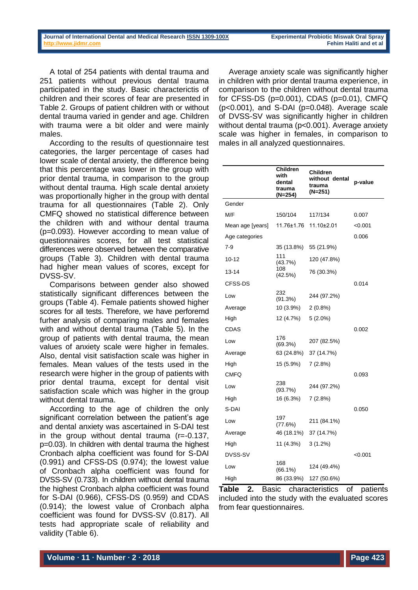According to the age of children the only significant correlation between the patient's age and dental anxiety was ascertained in S-DAI test in the group without dental trauma (r=-0.137, p=0.03). In children with dental trauma the highest Cronbach alpha coefficient was found for S-DAI (0.991) and CFSS-DS (0.974); the lowest value of Cronbach alpha coefficient was found for DVSS-SV (0.733). In children without dental trauma the highest Cronbach alpha coefficient was found for S-DAI (0.966), CFSS-DS (0.959) and CDAS (0.914); the lowest value of Cronbach alpha coefficient was found for DVSS-SV (0.817). All tests had appropriate scale of reliability and validity (Table 6).

Average anxiety scale was significantly higher in children with prior dental trauma experience, in comparison to the children without dental trauma for CFSS-DS (p=0.001), CDAS (p=0.01), CMFQ  $(p<0.001)$ , and S-DAI  $(p=0.048)$ . Average scale of DVSS-SV was significantly higher in children without dental trauma (p<0.001). Average anxiety scale was higher in females, in comparison to males in all analyzed questionnaires.

> **Children without dental trauma (N=251)**

**p-value**

**Children with dental trauma (N=254)**

M/F 150/104 117/134 0.007

Gender

| Mean age [years]            | 11.76±1.76        | $11.10 \pm 2.01$ | < 0.001        |
|-----------------------------|-------------------|------------------|----------------|
| Age categories              |                   |                  | 0.006          |
| $7 - 9$                     | 35 (13.8%)        | 55 (21.9%)       |                |
| $10 - 12$                   | 111<br>(43.7%)    | 120 (47.8%)      |                |
| $13 - 14$                   | 108<br>(42.5%)    | 76 (30.3%)       |                |
| CFSS-DS                     |                   |                  | 0.014          |
| Low                         | 232<br>(91.3%)    | 244 (97.2%)      |                |
| Average                     | 10 (3.9%)         | $2(0.8\%)$       |                |
| High                        | 12 (4.7%)         | $5(2.0\%)$       |                |
| <b>CDAS</b>                 |                   |                  | 0.002          |
| Low                         | 176<br>(69.3%)    | 207 (82.5%)      |                |
| Average                     | 63 (24.8%)        | 37 (14.7%)       |                |
| High                        | 15 (5.9%)         | 7(2.8%)          |                |
| <b>CMFQ</b>                 |                   |                  | 0.093          |
| Low                         | 238<br>(93.7%)    | 244 (97.2%)      |                |
| High                        | 16 (6.3%)         | 7(2.8%)          |                |
| S-DAI                       |                   |                  | 0.050          |
| Low                         | 197<br>(77.6%)    | 211 (84.1%)      |                |
| Average                     | 46 (18.1%)        | 37 (14.7%)       |                |
| High                        | 11 (4.3%)         | $3(1.2\%)$       |                |
| DVSS-SV                     |                   |                  | < 0.001        |
| Low                         | 168<br>$(66.1\%)$ | 124 (49.4%)      |                |
| High                        | 86 (33.9%)        | 127 (50.6%)      |                |
| 2.<br><b>Basic</b><br>Table |                   | characteristics  | patients<br>of |

included into the study with the evaluated scores from fear questionnaires.

A total of 254 patients with dental trauma and 251 patients without previous dental trauma participated in the study. Basic characterictis of children and their scores of fear are presented in Table 2. Groups of patient children with or without dental trauma varied in gender and age. Children with trauma were a bit older and were mainly

According to the results of questionnaire test categories, the larger percentage of cases had lower scale of dental anxiety, the difference being that this percentage was lower in the group with prior dental trauma, in comparison to the group without dental trauma. High scale dental anxiety was proportionally higher in the group with dental trauma for all questionnaires (Table 2). Only CMFQ showed no statistical difference between the children with and withour dental trauma (p=0.093). However according to mean value of questionnaires scores, for all test statistical differences were observed between the comparative groups (Table 3). Children with dental trauma had higher mean values of scores, except for

Comparisons between gender also showed statistically significant differences between the groups (Table 4). Female patients showed higher scores for all tests. Therefore, we have perforemd furher analysis of comparing males and females with and without dental trauma (Table 5). In the group of patients with dental trauma, the mean values of anxiety scale were higher in females. Also, dental visit satisfaction scale was higher in females. Mean values of the tests used in the research were higher in the group of patients with prior dental trauma, except for dental visit

males.

DVSS-SV.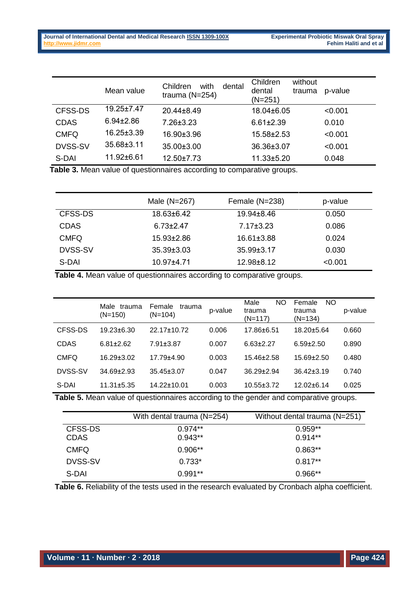|                | Mean value       | with<br>dental<br>Children<br>trauma $(N=254)$ | Children<br>without<br>dental<br>trauma<br>$(N=251)$ | p-value |
|----------------|------------------|------------------------------------------------|------------------------------------------------------|---------|
| CFSS-DS        | $19.25 \pm 7.47$ | 20.44±8.49                                     | 18.04±6.05                                           | < 0.001 |
| <b>CDAS</b>    | $6.94 \pm 2.86$  | $7.26 \pm 3.23$                                | $6.61 \pm 2.39$                                      | 0.010   |
| <b>CMFQ</b>    | $16.25 \pm 3.39$ | 16.90±3.96                                     | $15.58 \pm 2.53$                                     | < 0.001 |
| <b>DVSS-SV</b> | $35.68 \pm 3.11$ | 35.00±3.00                                     | 36.36±3.07                                           | < 0.001 |
| S-DAI          | 11.92±6.61       | $12.50 \pm 7.73$                               | $11.33 \pm 5.20$                                     | 0.048   |

**Table 3.** Mean value of questionnaires according to comparative groups.

|                | Male $(N=267)$   | Female (N=238)   | p-value |
|----------------|------------------|------------------|---------|
| CFSS-DS        | 18.63±6.42       | $19.94 \pm 8.46$ | 0.050   |
| <b>CDAS</b>    | $6.73 \pm 2.47$  | $7.17 \pm 3.23$  | 0.086   |
| <b>CMFQ</b>    | $15.93 \pm 2.86$ | $16.61 \pm 3.88$ | 0.024   |
| <b>DVSS-SV</b> | $35.39 \pm 3.03$ | $35.99 \pm 3.17$ | 0.030   |
| S-DAI          | $10.97 + 4.71$   | $12.98 \pm 8.12$ | < 0.001 |

**Table 4.** Mean value of questionnaires according to comparative groups.

|             | Male<br>trauma<br>$(N=150)$ | Female<br>trauma<br>$(N=104)$ | p-value | Male<br>NO.<br>trauma<br>(N=117) | NO.<br>Female<br>trauma<br>$(N=134)$ | p-value |
|-------------|-----------------------------|-------------------------------|---------|----------------------------------|--------------------------------------|---------|
| CFSS-DS     | $19.23 \pm 6.30$            | 22.17±10.72                   | 0.006   | 17.86±6.51                       | 18.20±5.64                           | 0.660   |
| CDAS        | $6.81 + 2.62$               | $7.91 \pm 3.87$               | 0.007   | $6.63 + 2.27$                    | $6.59 \pm 2.50$                      | 0.890   |
| <b>CMFQ</b> | $16.29 \pm 3.02$            | $17.79 + 4.90$                | 0.003   | $15.46 + 2.58$                   | $15.69 \pm 2.50$                     | 0.480   |
| DVSS-SV     | $34.69 \pm 2.93$            | 35.45±3.07                    | 0.047   | $36.29 \pm 2.94$                 | $36.42 \pm 3.19$                     | 0.740   |
| S-DAI       | $11.31 \pm 5.35$            | 14.22±10.01                   | 0.003   | $10.55 \pm 3.72$                 | $12.02 \pm 6.14$                     | 0.025   |

**Table 5.** Mean value of questionnaires according to the gender and comparative groups.

|                | With dental trauma (N=254) | Without dental trauma (N=251) |
|----------------|----------------------------|-------------------------------|
| CFSS-DS        | $0.974**$                  | $0.959**$                     |
| <b>CDAS</b>    | $0.943**$                  | $0.914**$                     |
| <b>CMFQ</b>    | $0.906**$                  | $0.863**$                     |
| <b>DVSS-SV</b> | $0.733*$                   | $0.817**$                     |
| S-DAI          | $0.991**$                  | $0.966**$                     |

**Table 6.** Reliability of the tests used in the research evaluated by Cronbach alpha coefficient.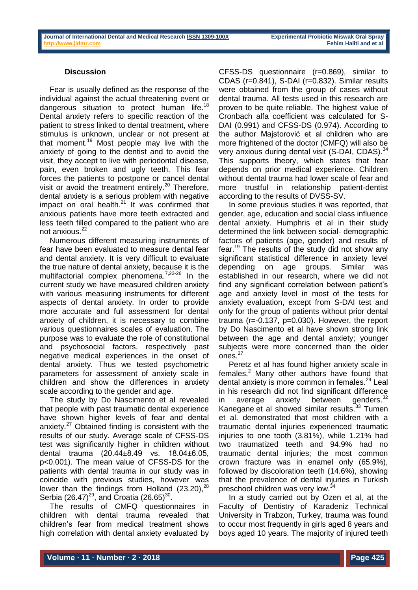# **Discussion**

Fear is usually defined as the response of the individual against the actual threatening event or dangerous situation to protect human life.<sup>18</sup> Dental anxiety refers to specific reaction of the patient to stress linked to dental treatment, where stimulus is unknown, unclear or not present at that moment.<sup>19</sup> Most people may live with the anxiety of going to the dentist and to avoid the visit, they accept to live with periodontal disease, pain, even broken and ugly teeth. This fear forces the patients to postpone or cancel dental visit or avoid the treatment entirely.<sup>20</sup> Therefore, dental anxiety is a serious problem with negative impact on oral health. $21$  It was confirmed that anxious patients have more teeth extracted and less teeth filled compared to the patient who are not anxious.<sup>22</sup>

Numerous different measuring instruments of fear have been evaluated to measure dental fear and dental anxiety. It is very difficult to evaluate the true nature of dental anxiety, because it is the multifactorial complex phenomena.<sup>7,23-26</sup> In the current study we have measured children anxiety with various measuring instruments for different aspects of dental anxiety. In order to provide more accurate and full assessment for dental anxiety of children, it is necessary to combine various questionnaires scales of evaluation. The purpose was to evaluate the role of constitutional and psychosocial factors, respectively past negative medical experiences in the onset of dental anxiety. Thus we tested psychometric parameters for assessment of anxiety scale in children and show the differences in anxiety scale according to the gender and age.

The study by Do Nascimento et al revealed that people with past traumatic dental experience have shown higher levels of fear and dental anxiety.<sup>27</sup> Obtained finding is consistent with the results of our study. Average scale of CFSS-DS test was significantly higher in children without dental trauma (20.44±8.49 vs. 18.04±6.05, p<0.001). The mean value of CFSS-DS for the patients with dental trauma in our study was in coincide with previous studies, however was lower than the findings from Holland (23.20),<sup>28</sup> Serbia (26.47)<sup>29</sup>, and Croatia (26.65)<sup>30</sup>.

The results of CMFQ questionnaires in children with dental trauma revealed that children's fear from medical treatment shows high correlation with dental anxiety evaluated by CFSS-DS questionnaire (r=0.869), similar to CDAS (r=0.841), S-DAI (r=0.832). Similar results were obtained from the group of cases without dental trauma. All tests used in this research are proven to be quite reliable. The highest value of Cronbach alfa coefficient was calculated for S-DAI (0.991) and CFSS-DS (0.974). According to the author Majstorović et al children who are more frightened of the doctor (CMFQ) will also be very anxious during dental visit (S-DAI, CDAS).<sup>34</sup> This supports theory, which states that fear depends on prior medical experience. Children without dental trauma had lower scale of fear and more trustful in relationship patient-dentist according to the results of DVSS-SV.

In some previous studies it was reported, that gender, age, education and social class influence dental anxiety. Humphris et al in their study determined the link between social- demographic factors of patients (age, gender) and results of fear.<sup>19</sup> The results of the study did not show any significant statistical difference in anxiety level depending on age groups. Similar was established in our research, where we did not find any significant correlation between patient's age and anxiety level in most of the tests for anxiety evaluation, except from S-DAI test and only for the group of patients without prior dental trauma (r=-0.137, p=0.030). However, the report by Do Nascimento et al have shown strong link between the age and dental anxiety; younger subjects were more concerned than the older ones.<sup>27</sup>

Peretz et al has found higher anxiety scale in females.<sup>2</sup> Many other authors have found that dental anxiety is more common in females.<sup>29</sup> Leal in his research did not find significant difference in average anxiety between genders. $32$ Kanegane et al showed similar results.<sup>33</sup> Tumen et al. demonstrated that most children with a traumatic dental injuries experienced traumatic injuries to one tooth (3.81%), while 1.21% had two traumatized teeth and 94.9% had no traumatic dental injuries; the most common crown fracture was in enamel only (65.9%), followed by discoloration teeth (14.6%), showing that the prevalence of dental injuries in Turkish preschool children was very low.<sup>34</sup>

In a study carried out by Ozen et al, at the Faculty of Dentistry of Karadeniz Technical University in Trabzon, Turkey, trauma was found to occur most frequently in girls aged 8 years and boys aged 10 years. The majority of injured teeth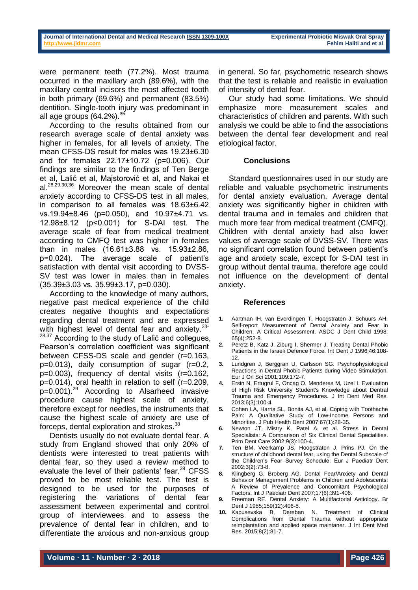were permanent teeth (77.2%). Most trauma occurred in the maxillary arch (89.6%), with the maxillary central incisors the most affected tooth in both primary (69.6%) and permanent (83.5%) dentition. Single-tooth injury was predominant in all age groups  $(64.2\%)$ .

According to the results obtained from our research average scale of dental anxiety was higher in females, for all levels of anxiety. The mean CFSS-DS result for males was 19.23±6.30 and for females 22.17±10.72 (p=0.006). Our findings are similar to the findings of Ten Berge et al, Lalić et al, Majstorović et al, and Nakai et al.28,29,30,36 Moreover the mean scale of dental anxiety according to CFSS-DS test in all males, in comparison to all females was 18.63±6.42 vs.19.94±8.46 (p=0.050), and 10.97±4.71 vs. 12.98±8.12 (p<0.001) for S-DAI test. The average scale of fear from medical treatment according to CMFQ test was higher in females than in males (16.61±3.88 vs. 15.93±2.86, p=0.024). The average scale of patient's satisfaction with dental visit according to DVSS-SV test was lower in males than in females  $(35.39\pm3.03 \text{ vs. } 35.99\pm3.17, \text{ p=0.030}).$ 

According to the knowledge of many authors, negative past medical experience of the child creates negative thoughts and expectations regarding dental treatment and are expressed with highest level of dental fear and anxiety. $23$ -<sup>28,37</sup> According to the study of Lalić and collegues, Pearson's correlation coefficient was significant between CFSS-DS scale and gender (r=0.163, p=0.013), daily consumption of sugar (r=0.2, p=0.003), frequency of dental visits (r=0.162, p=0.014), oral health in relation to self (r=0.209, p=0.001).<sup>29</sup> According to Alsarheed invasive procedure cause highest scale of anxiety, therefore except for needles, the instruments that cause the highest scale of anxiety are use of forceps, dental exploration and strokes.<sup>38</sup>

Dentists usually do not evaluate dental fear. A study from England showed that only 20% of dentists were interested to treat patients with dental fear, so they used a review method to evaluate the level of their patients' fear.<sup>39</sup> CFSS proved to be most reliable test. The test is designed to be used for the purposes of registering the variations of dental fear assessment between experimental and control group of interviewees and to assess the prevalence of dental fear in children, and to differentiate the anxious and non-anxious group

in general. So far, psychometric research shows that the test is reliable and realistic in evaluation of intensity of dental fear.

Our study had some limitations. We should emphasize more measurement scales and characteristics of children and parents. With such analysis we could be able to find the associations between the dental fear development and real etiological factor.

# **Conclusions**

Standard questionnaires used in our study are reliable and valuable psychometric instruments for dental anxiety evaluation. Average dental anxiety was significantly higher in children with dental trauma and in females and children that much more fear from medical treatment (CMFQ). Children with dental anxiety had also lower values of average scale of DVSS-SV. There was no significant correlation found between patient's age and anxiety scale, except for S-DAI test in group without dental trauma, therefore age could not influence on the development of dental anxiety.

### **References**

- **1.** Aartman IH, van Everdingen T, Hoogstraten J, Schuurs AH. Self-report Measurement of Dental Anxiety and Fear in Children: A Critical Assessment. ASDC J Dent Child 1998; 65(4):252-8.
- **2.** Peretz B, Katz J, Ziburg I, Shermer J. Treating Dental Phobic Patients in the Israeli Defence Force. Int Dent J 1996;46:108- 12.
- **3.** Lundgren J, Berggran U, Carlsson SG. Psychophysiological Reactions in Dental Phobic Patients during Video Stimulation. Eur J Orl Sci 2001;109:172-7.
- **4.** Ersin N, Ertugrul F, Oncag O, Menderes M, Uzel I. Evaluation of High Risk University Student's Knowledge about Dentral Trauma and Emergency Procedures. J Int Dent Med Res. 2013;6(3):100-4
- **5.** Cohen LA, Harris SL, Bonita AJ, et al. Coping with Toothache Pain: A Qualitative Study of Low-Income Persons and Minorities. J Pub Health Dent 2007;67(1):28-35.
- **6.** Newton JT, Mistry K, Patel A, et al. Stress in Dental Specialists: A Comparison of Six Clinical Dental Specialities. Prim Dent Care 2002;9(3):100-4.
- **7.** Ten BM, Veerkamp JS, Hoogstraten J, Prins PJ. On the structure of childhood dental fear, using the Dental Subscale of the Children's Fear Survey Schedule. Eur J Paediatr Dent 2002;3(2):73-8.
- **8.** Klingberg G, Broberg AG. Dental Fear/Anxiety and Dental Behavior Management Problems in Children and Adolescents: A Review of Prevalence and Concomitant Psychological Factors. Int J Paediatr Dent 2007;17(6):391-406.
- **9.** Freeman RE. Dental Anxiety: A Multifactorial Aetiology. Br Dent J 1985;159(12):406-8.
- **10.** Kapusevska B, Dereban N. Treatment of Clinical Complications from Dental Trauma without appropriate reimplantation and applied space maintaner. J Int Dent Med Res. 2015;8(2):81-7.